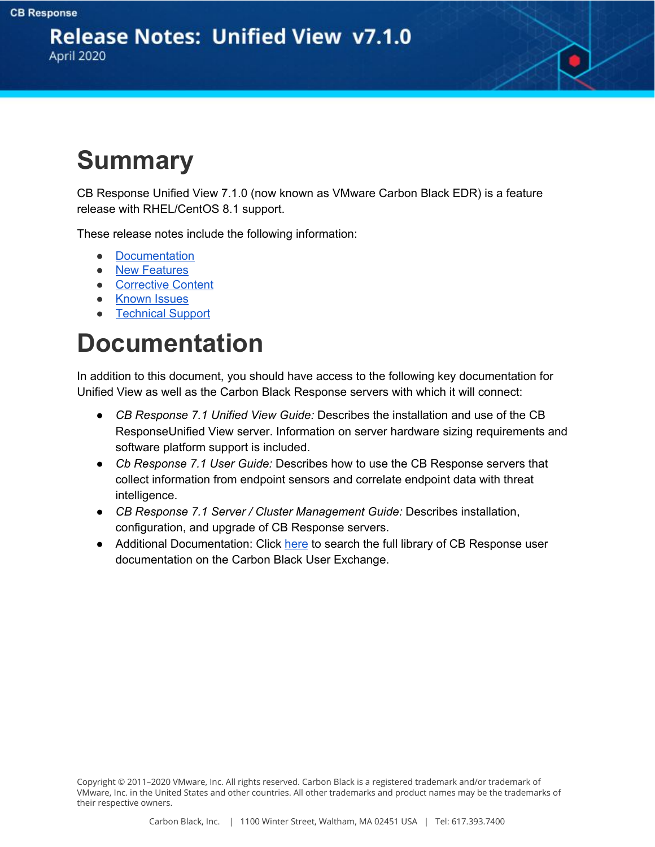**Release Notes: Unified View v7.1.0** April 2020

# **Summary**

CB Response Unified View 7.1.0 (now known as VMware Carbon Black EDR) is a feature release with RHEL/CentOS 8.1 support.

These release notes include the following information:

- Documentation
- New Features
- Corrective Content
- Known Issues
- Technical Support

### **Documentation**

In addition to this document, you should have access to the following key documentation for Unified View as well as the Carbon Black Response servers with which it will connect:

- *CB Response 7.1 Unified View Guide:* Describes the installation and use of the CB ResponseUnified View server. Information on server hardware sizing requirements and software platform support is included.
- *Cb Response 7.1 User Guide:* Describes how to use the CB Response servers that collect information from endpoint sensors and correlate endpoint data with threat intelligence.
- *CB Response 7.1 Server / Cluster Management Guide:* Describes installation, configuration, and upgrade of CB Response servers.
- Additional Documentation: [Click](https://community.carbonblack.com/t5/Documentation-Downloads/tkb-p/product-docs-news/label-name/CB%20Response) [here](https://community.carbonblack.com/t5/Documentation-Downloads/tkb-p/product-docs-news/label-name/CB%20Response) to search the full library of CB Response user documentation on the Carbon Black User Exchange.

Copyright © 2011–2020 VMware, Inc. All rights reserved. Carbon Black is a registered trademark and/or trademark of VMware, Inc. in the United States and other countries. All other trademarks and product names may be the trademarks of their respective owners.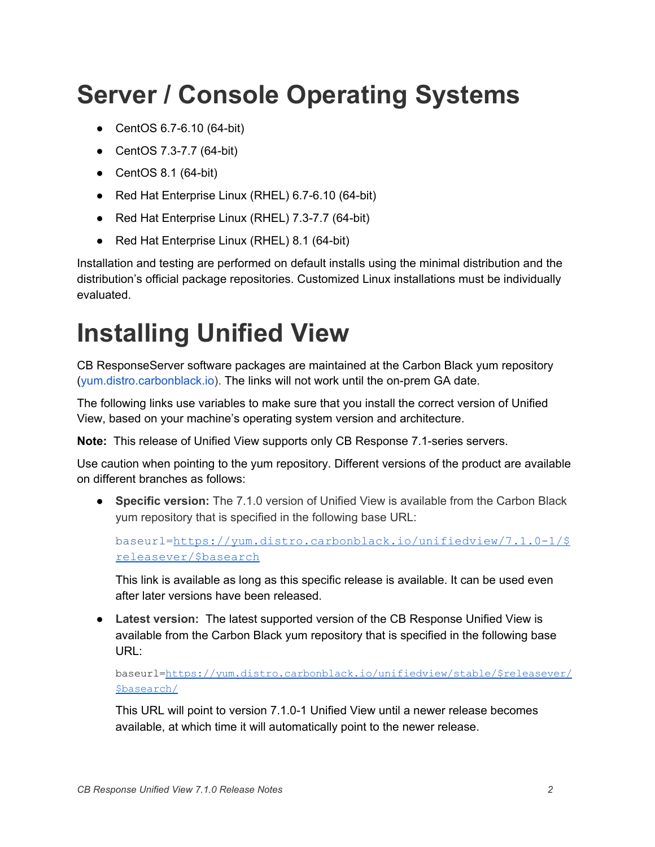# **Server / Console Operating Systems**

- CentOS 6.7-6.10 (64-bit)
- CentOS 7.3-7.7 (64-bit)
- $\bullet$  CentOS 8.1 (64-bit)
- Red Hat Enterprise Linux (RHEL) 6.7-6.10 (64-bit)
- Red Hat Enterprise Linux (RHEL) 7.3-7.7 (64-bit)
- Red Hat Enterprise Linux (RHEL) 8.1 (64-bit)

Installation and testing are performed on default installs using the minimal distribution and the distribution's official package repositories. Customized Linux installations must be individually evaluated.

## **Installing Unified View**

CB ResponseServer software packages are maintained at the Carbon Black yum repository ([yum.distro.carbonblack.io](http://yum.distro.carbonblack.io/)). The links will not work until the on-prem GA date.

The following links use variables to make sure that you install the correct version of Unified View, based on your machine's operating system version and architecture.

**Note:** This release of Unified View supports only CB Response 7.1-series servers.

Use caution when pointing to the yum repository. Different versions of the product are available on different branches as follows:

● **Specific version:** The 7.1.0 version of Unified View is available from the Carbon Black yum repository that is specified in the following base URL:

baseurl=[https://yum.distro.carbonblack.io/unifiedview/7.1.0-1/\\$](https://yum.distro.carbonblack.io/enterprise/6.2.3-1/$releasever/$basearch) [releasever/\\$basearch](https://yum.distro.carbonblack.io/enterprise/6.2.3-1/$releasever/$basearch)

This link is available as long as this specific release is available. It can be used even after later versions have been released.

● **Latest version:** The latest supported version of the CB Response Unified View is available from the Carbon Black yum repository that is specified in the following base URL:

baseurl[=https://yum.distro.carbonblack.io/unifiedview/stable/\\$releasever/](https://yum.distro.carbonblack.io/unifiedview/stable/$releasever/$basearch/) [\\$basearch/](https://yum.distro.carbonblack.io/unifiedview/stable/$releasever/$basearch/)

This URL will point to version 7.1.0-1 Unified View until a newer release becomes available, at which time it will automatically point to the newer release.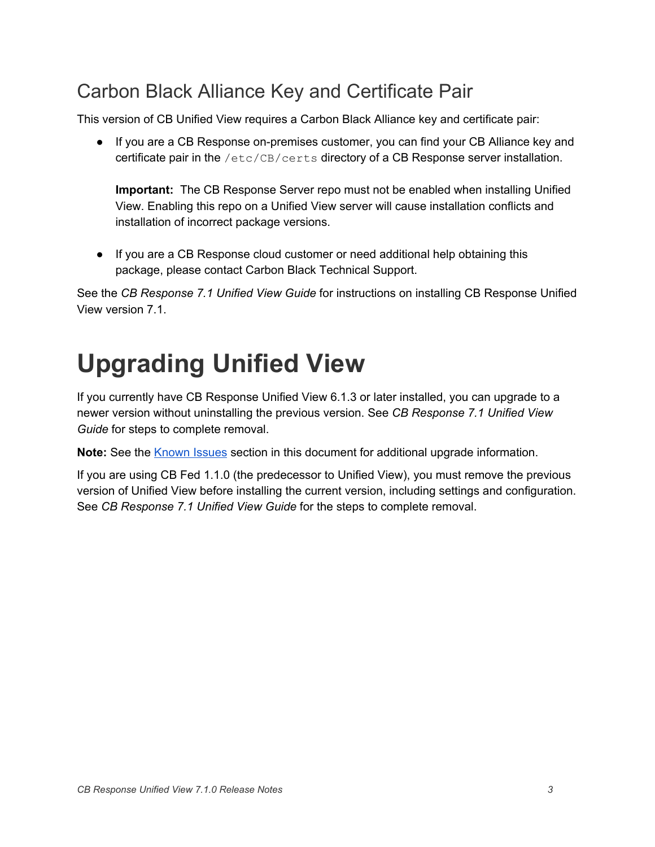### Carbon Black Alliance Key and Certificate Pair

This version of CB Unified View requires a Carbon Black Alliance key and certificate pair:

● If you are a CB Response on-premises customer, you can find your CB Alliance key and certificate pair in the /etc/CB/certs directory of a CB Response server installation.

**Important:** The CB Response Server repo must not be enabled when installing Unified View. Enabling this repo on a Unified View server will cause installation conflicts and installation of incorrect package versions.

● If you are a CB Response cloud customer or need additional help obtaining this package, please contact Carbon Black Technical Support.

See the *CB Response 7.1 Unified View Guide* for instructions on installing CB Response Unified View version 7.1.

# **Upgrading Unified View**

If you currently have CB Response Unified View 6.1.3 or later installed, you can upgrade to a newer version without uninstalling the previous version. See *CB Response 7.1 Unified View Guide* for steps to complete removal.

Note: See the **Known Issues** section in this document for additional upgrade information.

If you are using CB Fed 1.1.0 (the predecessor to Unified View), you must remove the previous version of Unified View before installing the current version, including settings and configuration. See *CB Response 7.1 Unified View Guide* for the steps to complete removal.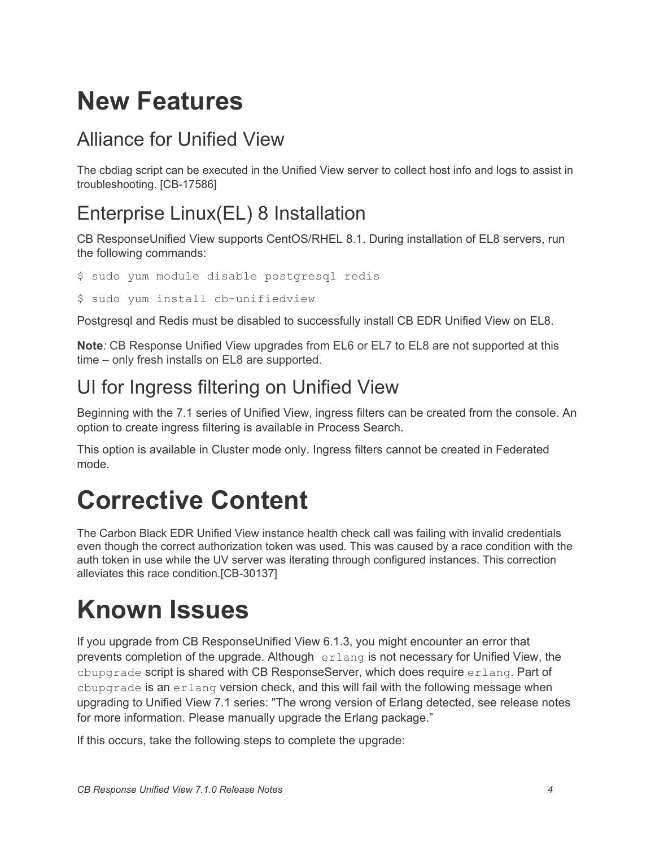### **New Features**

#### Alliance for Unified View

The cbdiag script can be executed in the Unified View server to collect host info and logs to assist in troubleshooting. [CB-17586]

### Enterprise Linux(EL) 8 Installation

CB ResponseUnified View supports CentOS/RHEL 8.1. During installation of EL8 servers, run the following commands:

\$ sudo yum module disable postgresql redis

\$ sudo yum install cb-unifiedview

Postgresql and Redis must be disabled to successfully install CB EDR Unified View on EL8.

**Note***:* CB Response Unified View upgrades from EL6 or EL7 to EL8 are not supported at this time – only fresh installs on EL8 are supported.

#### UI for Ingress filtering on Unified View

Beginning with the 7.1 series of Unified View, ingress filters can be created from the console. An option to create ingress filtering is available in Process Search.

This option is available in Cluster mode only. Ingress filters cannot be created in Federated mode.

### **Corrective Content**

The Carbon Black EDR Unified View instance health check call was failing with invalid credentials even though the correct authorization token was used. This was caused by a race condition with the auth token in use while the UV server was iterating through configured instances. This correction alleviates this race condition.[CB-30137]

## **Known Issues**

If you upgrade from CB ResponseUnified View 6.1.3, you might encounter an error that prevents completion of the upgrade. Although  $erlang$  is not necessary for Unified View, the cbupgrade script is shared with CB ResponseServer, which does require  $erlang$ . Part of cbupgrade is an erlang version check, and this will fail with the following message when upgrading to Unified View 7.1 series: "The wrong version of Erlang detected, see release notes for more information. Please manually upgrade the Erlang package."

If this occurs, take the following steps to complete the upgrade: